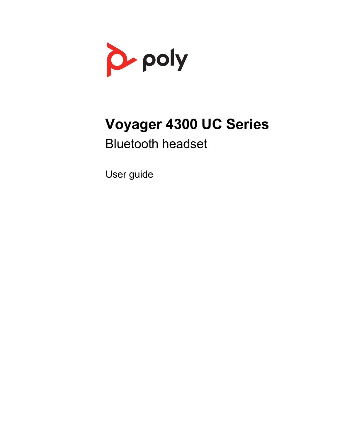

# **Voyager 4300 UC Series**

# Bluetooth headset

User guide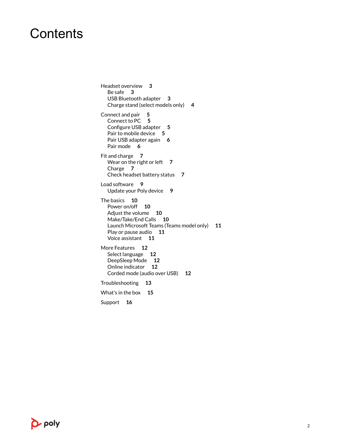### **Contents**

[Headset overview](#page-2-0) **3** [Be safe](#page-2-0) **3** [USB Bluetooth adapter](#page-2-0) **3** [Charge stand \(select models only\)](#page-3-0) **4** [Connect and pair](#page-4-0) **5** [Connect to PC](#page-4-0) **5** [Configure USB adapter](#page-4-0) **5** [Pair to mobile device](#page-4-0) **5** [Pair USB adapter again](#page-5-0) **6** [Pair mode](#page-5-0) **6** [Fit and charge](#page-6-0) **7** [Wear on the right or left](#page-6-0) **7** [Charge](#page-6-0) **7** [Check headset battery status](#page-6-0) **7** [Load software](#page-8-0) **9** [Update your Poly device](#page-8-0) **9** [The basics](#page-9-0) **10** [Power on/off](#page-9-0) **10** [Adjust the volume](#page-9-0) **10** [Make/Take/End Calls](#page-9-0) **10** [Launch Microsoft Teams \(Teams model only\)](#page-10-0) **11** [Play or pause audio](#page-10-0) **11** [Voice assistant](#page-10-0) **11** [More Features](#page-11-0) **12** [Select language](#page-11-0) **12** [DeepSleep Mode](#page-11-0) **12** [Online indicator](#page-11-0) **12** [Corded mode \(audio over USB\)](#page-11-0) **12** [Troubleshooting](#page-12-0) **13** [What's in the box](#page-14-0) **15** [Support](#page-15-0) **16**

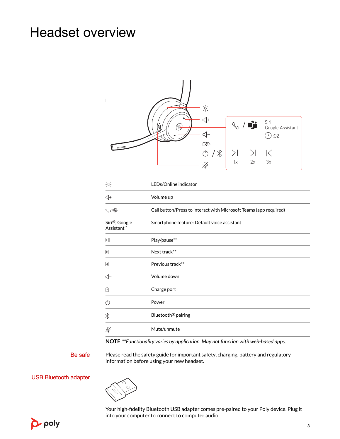### <span id="page-2-0"></span>Headset overview



| $\frac{1}{2}\phi_{\rm c}^2$             | LEDs/Online indicator                                             |  |
|-----------------------------------------|-------------------------------------------------------------------|--|
| $\triangleleft$ +                       | Volume up                                                         |  |
| $\mathbb{Q}/\mathbb{Q}$ i               | Call button/Press to interact with Microsoft Teams (app required) |  |
| Siri®, Google<br>Assistant <sup>™</sup> | Smartphone feature: Default voice assistant                       |  |
| $\blacktriangleright$                   | Play/pause**                                                      |  |
| N                                       | Next track**                                                      |  |
| $\blacksquare$                          | Previous track**                                                  |  |
| $\triangleleft$ -                       | Volume down                                                       |  |
| 囱                                       | Charge port                                                       |  |
| $\circlearrowleft$                      | Power                                                             |  |
| $\frac{1}{\sqrt{2}}$                    | Bluetooth <sup>®</sup> pairing                                    |  |
| $\cancel{\varphi}$                      | Mute/unmute                                                       |  |

**NOTE** *\*\*Functionality varies by application. May not function with web-based apps.*

Be safe

Please read the safety guide for important safety, charging, battery and regulatory information before using your new headset.

USB Bluetooth adapter



Your high-fidelity Bluetooth USB adapter comes pre-paired to your Poly device. Plug it into your computer to connect to computer audio.

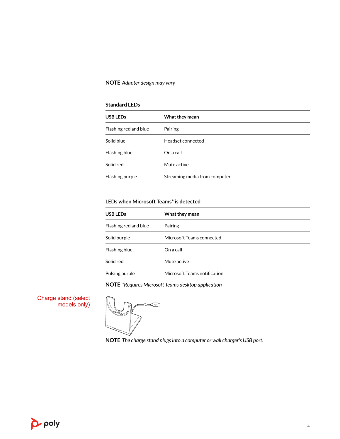#### <span id="page-3-0"></span>**NOTE** *Adapter design may vary*

| <b>Standard LEDs</b>  |                               |  |
|-----------------------|-------------------------------|--|
| <b>USB LEDs</b>       | What they mean                |  |
| Flashing red and blue | Pairing                       |  |
| Solid blue            | Headset connected             |  |
| Flashing blue         | On a call                     |  |
| Solid red             | Mute active                   |  |
| Flashing purple       | Streaming media from computer |  |

#### **LEDs when Microsoft Teams\* is detected**

| USB LEDs              | What they mean               |
|-----------------------|------------------------------|
| Flashing red and blue | Pairing                      |
| Solid purple          | Microsoft Teams connected    |
| Flashing blue         | On a call                    |
| Solid red             | Mute active                  |
| Pulsing purple        | Microsoft Teams notification |

**NOTE** *\*Requires Microsoft Teams desktop application*

Charge stand (select models only)

-∖∖=⊄⊕]

**NOTE** *The charge stand plugs into a computer or wall charger's USB port.*

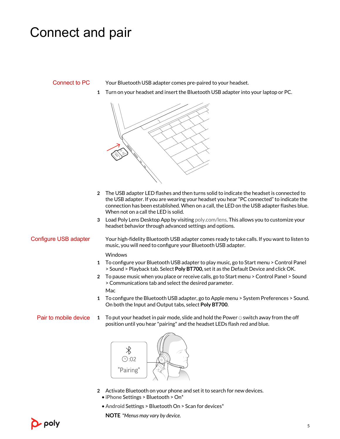### <span id="page-4-0"></span>Connect and pair

#### Connect to PC

Your Bluetooth USB adapter comes pre-paired to your headset.

**1** Turn on your headset and insert the Bluetooth USB adapter into your laptop or PC.



- **2** The USB adapter LED flashes and then turns solid to indicate the headset is connected to the USB adapter. If you are wearing your headset you hear "PC connected" to indicate the connection has been established. When on a call, the LED on the USB adapter flashes blue. When not on a call the LED is solid.
- **3** Load Poly Lens Desktop App by visiting [poly.com/lens](http://www.poly.com/lens). This allows you to customize your headset behavior through advanced settings and options.

#### Configure USB adapter

Your high-fidelity Bluetooth USB adapter comes ready to take calls. If you want to listen to music, you will need to configure your Bluetooth USB adapter.

**Windows** 

- **1** To configure your Bluetooth USB adapter to play music, go to Start menu > Control Panel > Sound > Playback tab. Select **Poly BT700,** set it as the Default Device and click OK.
- **2** To pause music when you place or receive calls, go to Start menu > Control Panel > Sound > Communications tab and select the desired parameter.

Mac

- **1** To configure the Bluetooth USB adapter, go to Apple menu > System Preferences > Sound. On both the Input and Output tabs, select **Poly BT700**.
- **1** To put your headset in pair mode, slide and hold the Power  $\circlearrowright$  switch away from the off position until you hear "pairing" and the headset LEDs flash red and blue. Pair to mobile device



- **2** Activate Bluetooth on your phone and set it to search for new devices.
	- **iPhone** Settings > Bluetooth > On\*
	- **Android** Settings > Bluetooth On > Scan for devices\*

**NOTE** *\*Menus may vary by device.*

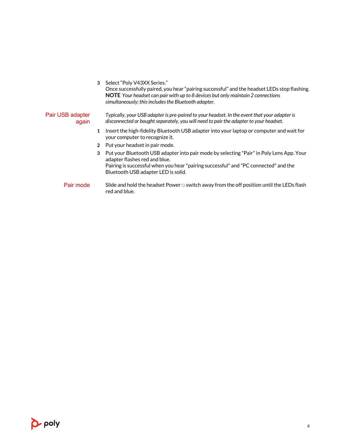<span id="page-5-0"></span>

|                           |                       | 3 Select "Poly V43XX Series."<br>Once successfully paired, you hear "pairing successful" and the headset LEDs stop flashing.<br>NOTE Your headset can pair with up to 8 devices but only maintain 2 connections<br>simultaneously; this includes the Bluetooth adapter. |
|---------------------------|-----------------------|-------------------------------------------------------------------------------------------------------------------------------------------------------------------------------------------------------------------------------------------------------------------------|
| Pair USB adapter<br>again |                       | Typically, your USB adapter is pre-paired to your headset. In the event that your adapter is<br>disconnected or bought separately, you will need to pair the adapter to your headset.                                                                                   |
|                           |                       | Insert the high-fidelity Bluetooth USB adapter into your laptop or computer and wait for<br>your computer to recognize it.                                                                                                                                              |
|                           | $\mathbf{2}^{\prime}$ | Put your headset in pair mode.                                                                                                                                                                                                                                          |
|                           | 3                     | Put your Bluetooth USB adapter into pair mode by selecting "Pair" in Poly Lens App. Your<br>adapter flashes red and blue.<br>Pairing is successful when you hear "pairing successful" and "PC connected" and the<br>Bluetooth USB adapter LED is solid.                 |
| Pair mode                 |                       | Slide and hold the headset Power $\circlearrowright$ switch away from the off position until the LEDs flash<br>red and blue.                                                                                                                                            |

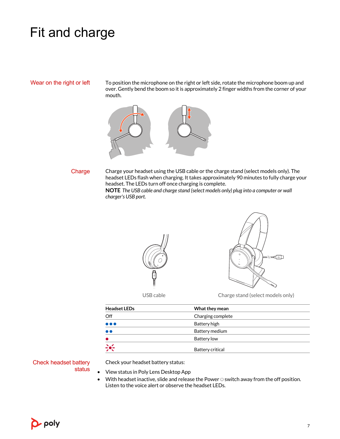### <span id="page-6-0"></span>Fit and charge

#### Wear on the right or left

To position the microphone on the right or left side, rotate the microphone boom up and over. Gently bend the boom so it is approximately 2 finger widths from the corner of your mouth.



#### **Charge**

Charge your headset using the USB cable or the charge stand (select models only). The headset LEDs flash when charging. It takes approximately 90 minutes to fully charge your headset. The LEDs turn off once charging is complete.

**NOTE** *The USB cable and charge stand (select models only) plug into a computer or wall charger's USB port.*





USB cable Charge stand (select models only)

| <b>Headset LEDs</b>     | What they mean    |  |
|-------------------------|-------------------|--|
| Off                     | Charging complete |  |
| $\bullet\bullet\bullet$ | Battery high      |  |
| $\bullet$               | Battery medium    |  |
|                         | Battery low       |  |
| $\div$                  | Battery critical  |  |

Check headset battery status

Check your headset battery status:

- View status in Poly Lens Desktop App
- $\bullet$  With headset inactive, slide and release the Power  $\circlearrowright$  switch away from the off position. Listen to the voice alert or observe the headset LEDs.

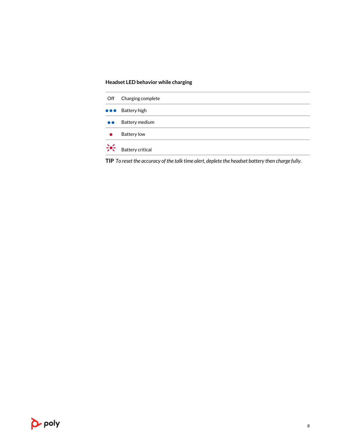#### **Headset LED behavior while charging**

| Off              | Charging complete                      |
|------------------|----------------------------------------|
|                  | $\bullet \bullet \bullet$ Battery high |
| $\bullet\bullet$ | Battery medium                         |
|                  | <b>Battery low</b>                     |
| $\frac{1}{2}$    | <b>Battery critical</b>                |

**TIP** *To reset the accuracy of the talk time alert, deplete the headset battery then charge fully.*

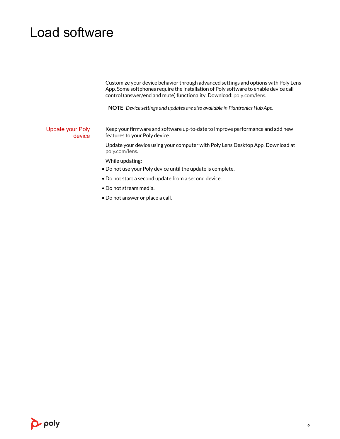### <span id="page-8-0"></span>Load software

Customize your device behavior through advanced settings and options with Poly Lens App. Some softphones require the installation of Poly software to enable device call control (answer/end and mute) functionality. Download: [poly.com/lens.](http://www.poly.com/lens)

**NOTE** *Device settings and updates are also available in Plantronics Hub App.*

Keep your firmware and software up-to-date to improve performance and add new features to your Poly device. Update your Poly device

> Update your device using your computer with Poly Lens Desktop App. Download at [poly.com/lens](http://www.poly.com/lens).

While updating:

- Do not use your Poly device until the update is complete.
- Do not start a second update from a second device.
- Do not stream media.
- Do not answer or place a call.

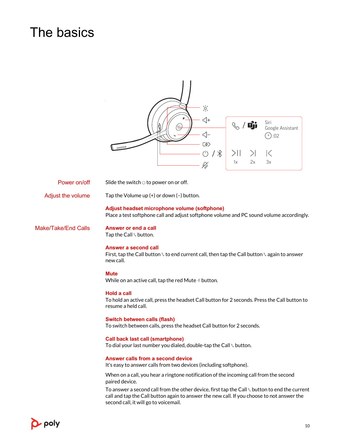# <span id="page-9-0"></span>The basics

|                                                                                                              | 次<br>$\star$<br>$\triangleleft$ +<br>Siri<br>O)<br>Google Assistant<br>$\triangleleft$ -<br>$(4)$ :02<br><b>C&amp;D</b><br>$\circlearrowleft$<br>1<br>$>$   <br>$\mathbb{K}$<br>3x<br>1x<br>2x<br>رکيکو                              |  |  |  |
|--------------------------------------------------------------------------------------------------------------|--------------------------------------------------------------------------------------------------------------------------------------------------------------------------------------------------------------------------------------|--|--|--|
| Power on/off                                                                                                 | Slide the switch $\cup$ to power on or off.                                                                                                                                                                                          |  |  |  |
| Adjust the volume                                                                                            | Tap the Volume up $(+)$ or down $(-)$ button.                                                                                                                                                                                        |  |  |  |
|                                                                                                              | Adjust headset microphone volume (softphone)<br>Place a test softphone call and adjust softphone volume and PC sound volume accordingly.                                                                                             |  |  |  |
| <b>Make/Take/End Calls</b>                                                                                   | Answer or end a call<br>Tap the Call \ button.                                                                                                                                                                                       |  |  |  |
|                                                                                                              | Answer a second call<br>First, tap the Call button \to end current call, then tap the Call button \tagain to answer<br>new call.                                                                                                     |  |  |  |
|                                                                                                              | <b>Mute</b><br>While on an active call, tap the red Mute $\triangleleft$ button.                                                                                                                                                     |  |  |  |
|                                                                                                              | <b>Hold a call</b><br>To hold an active call, press the headset Call button for 2 seconds. Press the Call button to<br>resume a held call.                                                                                           |  |  |  |
| <b>Switch between calls (flash)</b><br>To switch between calls, press the headset Call button for 2 seconds. |                                                                                                                                                                                                                                      |  |  |  |
|                                                                                                              | <b>Call back last call (smartphone)</b><br>To dial your last number you dialed, double-tap the Call \ button.                                                                                                                        |  |  |  |
|                                                                                                              | Answer calls from a second device<br>It's easy to answer calls from two devices (including softphone).                                                                                                                               |  |  |  |
|                                                                                                              | When on a call, you hear a ringtone notification of the incoming call from the second<br>paired device.                                                                                                                              |  |  |  |
|                                                                                                              | To answer a second call from the other device, first tap the Call \ button to end the current<br>call and tap the Call button again to answer the new call. If you choose to not answer the<br>second call, it will go to voicemail. |  |  |  |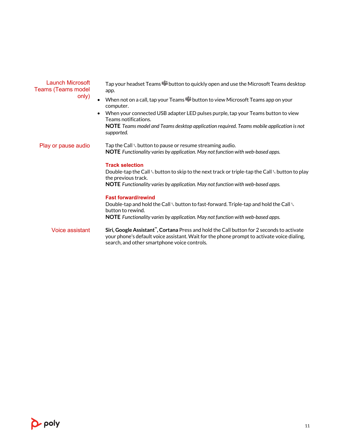<span id="page-10-0"></span>

| Launch Microsoft<br><b>Teams (Teams model</b><br>only) | Tap your headset Teams [10] button to quickly open and use the Microsoft Teams desktop<br>app.<br>When not on a call, tap your Teams <b>T</b> i button to view Microsoft Teams app on your<br>computer.<br>When your connected USB adapter LED pulses purple, tap your Teams button to view<br>$\bullet$<br>Teams notifications.<br>NOTE Teams model and Teams desktop application required. Teams mobile application is not<br>supported. |
|--------------------------------------------------------|--------------------------------------------------------------------------------------------------------------------------------------------------------------------------------------------------------------------------------------------------------------------------------------------------------------------------------------------------------------------------------------------------------------------------------------------|
| Play or pause audio                                    | Tap the Call $\scriptstyle\backprime$ button to pause or resume streaming audio.<br><b>NOTE</b> Functionality varies by application. May not function with web-based apps.<br><b>Track selection</b><br>Double-tap the Call \ button to skip to the next track or triple-tap the Call \ button to play<br>the previous track.<br><b>NOTE</b> Functionality varies by application. May not function with web-based apps.                    |
|                                                        | <b>Fast forward/rewind</b><br>Double-tap and hold the Call \ button to fast-forward. Triple-tap and hold the Call \<br>button to rewind.<br>NOTE Functionality varies by application. May not function with web-based apps.                                                                                                                                                                                                                |
| Voice assistant                                        | Siri, Google Assistant", Cortana Press and hold the Call button for 2 seconds to activate<br>your phone's default voice assistant. Wait for the phone prompt to activate voice dialing,<br>search, and other smartphone voice controls.                                                                                                                                                                                                    |

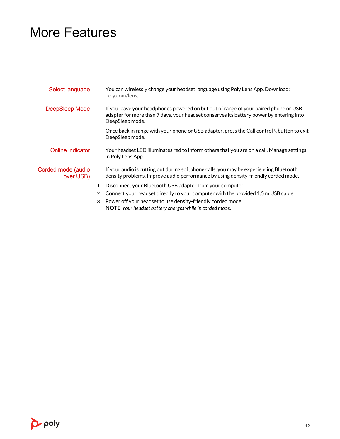### <span id="page-11-0"></span>More Features

| Select language                 |                | You can wirelessly change your headset language using Poly Lens App. Download:<br>poly.com/lens.                                                                                                   |  |
|---------------------------------|----------------|----------------------------------------------------------------------------------------------------------------------------------------------------------------------------------------------------|--|
| DeepSleep Mode                  |                | If you leave your headphones powered on but out of range of your paired phone or USB<br>adapter for more than 7 days, your headset conserves its battery power by entering into<br>DeepSleep mode. |  |
|                                 |                | Once back in range with your phone or USB adapter, press the Call control \ button to exit<br>DeepSleep mode.                                                                                      |  |
| Online indicator                |                | Your headset LED illuminates red to inform others that you are on a call. Manage settings<br>in Poly Lens App.                                                                                     |  |
| Corded mode (audio<br>over USB) |                | If your audio is cutting out during softphone calls, you may be experiencing Bluetooth<br>density problems. Improve audio performance by using density-friendly corded mode.                       |  |
|                                 | $\mathbf{1}$   | Disconnect your Bluetooth USB adapter from your computer                                                                                                                                           |  |
|                                 | $\overline{2}$ | Connect your headset directly to your computer with the provided 1.5 m USB cable                                                                                                                   |  |
|                                 | 3              | Power off your headset to use density-friendly corded mode                                                                                                                                         |  |

**NOTE** *Your headset battery charges while in corded mode.*

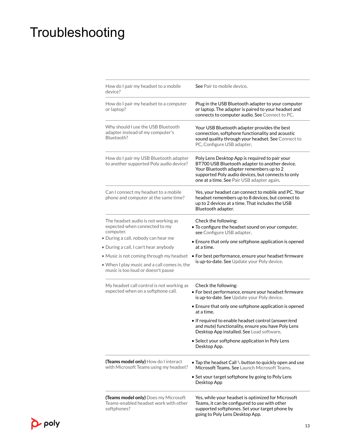# <span id="page-12-0"></span>Troubleshooting

| How do I pair my headset to a mobile<br>device?                                                                                                                                                                                                                                                     | See Pair to mobile device.                                                                                                                                                                                                                                                                                                                                                                                                        |
|-----------------------------------------------------------------------------------------------------------------------------------------------------------------------------------------------------------------------------------------------------------------------------------------------------|-----------------------------------------------------------------------------------------------------------------------------------------------------------------------------------------------------------------------------------------------------------------------------------------------------------------------------------------------------------------------------------------------------------------------------------|
| How do I pair my headset to a computer<br>or laptop?                                                                                                                                                                                                                                                | Plug in the USB Bluetooth adapter to your computer<br>or laptop. The adapter is paired to your headset and<br>connects to computer audio. See Connect to PC.                                                                                                                                                                                                                                                                      |
| Why should I use the USB Bluetooth<br>adapter instead of my computer's<br>Bluetooth?                                                                                                                                                                                                                | Your USB Bluetooth adapter provides the best<br>connection, softphone functionality and acoustic<br>sound quality through your headset. See Connect to<br>PC, Configure USB adapter.                                                                                                                                                                                                                                              |
| How do I pair my USB Bluetooth adapter<br>to another supported Poly audio device?                                                                                                                                                                                                                   | Poly Lens Desktop App is required to pair your<br>BT700 USB Bluetooth adapter to another device.<br>Your Bluetooth adapter remembers up to 2<br>supported Poly audio devices, but connects to only<br>one at a time. See Pair USB adapter again.                                                                                                                                                                                  |
| Can I connect my headset to a mobile<br>phone and computer at the same time?                                                                                                                                                                                                                        | Yes, your headset can connect to mobile and PC. Your<br>headset remembers up to 8 devices, but connect to<br>up to 2 devices at a time. That includes the USB<br>Bluetooth adapter.                                                                                                                                                                                                                                               |
| The headset audio is not working as<br>expected when connected to my<br>computer.<br>• During a call, nobody can hear me<br>• During a call, I can't hear anybody<br>· Music is not coming through my headset<br>• When I play music and a call comes in, the<br>music is too loud or doesn't pause | Check the following:<br>. To configure the headset sound on your computer,<br>see Configure USB adapter.<br>• Ensure that only one softphone application is opened<br>at a time.<br>• For best performance, ensure your headset firmware<br>is up-to-date. See Update your Poly device.                                                                                                                                           |
| My headset call control is not working as<br>expected when on a softphone call.                                                                                                                                                                                                                     | Check the following:<br>• For best performance, ensure your headset firmware<br>is up-to-date. See Update your Poly device.<br>• Ensure that only one softphone application is opened<br>at a time.<br>. If required to enable headset control (answer/end<br>and mute) functionality, ensure you have Poly Lens<br>Desktop App installed. See Load software.<br>• Select your softphone application in Poly Lens<br>Desktop App. |
| (Teams model only) How do I interact<br>with Microsoft Teams using my headset?                                                                                                                                                                                                                      | • Tap the headset Call \ button to quickly open and use<br>Microsoft Teams, See Launch Microsoft Teams.<br>• Set your target softphone by going to Poly Lens<br>Desktop App                                                                                                                                                                                                                                                       |
| <b>(Teams model only)</b> Does my Microsoft<br>Teams-enabled headset work with other<br>softphones?                                                                                                                                                                                                 | Yes, while your headset is optimized for Microsoft<br>Teams, it can be configured to use with other<br>supported softphones. Set your target phone by<br>going to Poly Lens Desktop App.                                                                                                                                                                                                                                          |

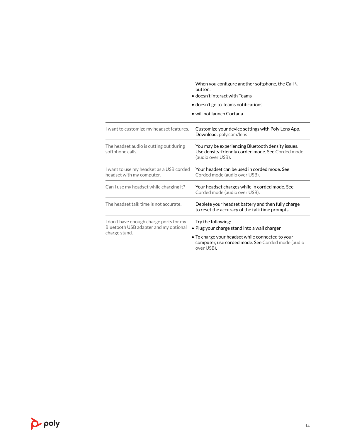When you configure another softphone, the Call button:

- doesn't interact with Teams
- doesn't go to Teams notifications
- will not launch Cortana

| I want to customize my headset features.                                                          | Customize your device settings with Poly Lens App.<br>Download: poly.com/lens                                                                                                             |
|---------------------------------------------------------------------------------------------------|-------------------------------------------------------------------------------------------------------------------------------------------------------------------------------------------|
| The headset audio is cutting out during<br>softphone calls.                                       | You may be experiencing Bluetooth density issues.<br>Use density-friendly corded mode. See Corded mode<br>(audio over USB).                                                               |
| I want to use my headset as a USB corded<br>headset with my computer.                             | Your headset can be used in corded mode. See<br>Corded mode (audio over USB).                                                                                                             |
| Can I use my headset while charging it?                                                           | Your headset charges while in corded mode. See<br>Corded mode (audio over USB).                                                                                                           |
| The headset talk time is not accurate.                                                            | Deplete your headset battery and then fully charge<br>to reset the accuracy of the talk time prompts.                                                                                     |
| I don't have enough charge ports for my<br>Bluetooth USB adapter and my optional<br>charge stand. | Try the following:<br>• Plug your charge stand into a wall charger<br>• To charge your headset while connected to your<br>computer, use corded mode. See Corded mode (audio<br>over USB). |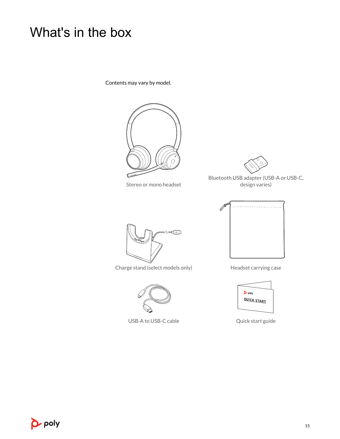# <span id="page-14-0"></span>What's in the box

Contents may vary by model.



Stereo or mono headset



Bluetooth USB adapter (USB-A or USB-C, design varies)



Charge stand (select models only) Headset carrying case



USB-A to USB-C cable  $Qu$ ick start guide